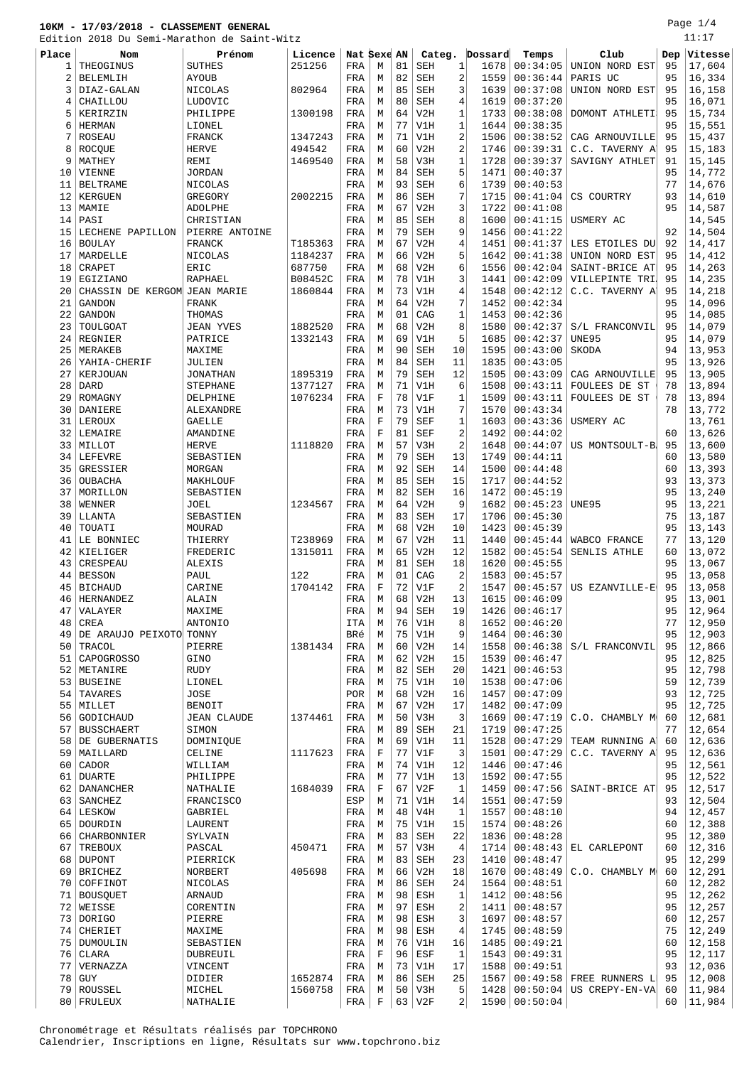Page 1/4 -<br>11:17

|       | Edition 2018 Du Semi-Marathon de Saint-Witz |                    |         |             |             |    |                               |                |         |                 |                                    |     | 11:17   |
|-------|---------------------------------------------|--------------------|---------|-------------|-------------|----|-------------------------------|----------------|---------|-----------------|------------------------------------|-----|---------|
| Place | <b>Nom</b>                                  | Prénom             | Licence | Nat Sexe AN |             |    | Categ.                        |                | Dossard | Temps           | Club                               | Dep | Vitesse |
| 1     | THEOGINUS                                   | <b>SUTHES</b>      | 251256  | FRA         | М           | 81 | SEH                           | 1              | 1678    | 00:34:05        | UNION NORD EST                     | 95  | 17,604  |
| 2     | <b>BELEMLIH</b>                             | <b>AYOUB</b>       |         | FRA         | М           | 82 | SEH                           | $\overline{a}$ | 1559    | 00:36:44        | PARIS UC                           | 95  | 16,334  |
| 3     | DIAZ-GALAN                                  | NICOLAS            | 802964  | FRA         | М           | 85 | SEH                           | 3              | 1639    | 00:37:08        | UNION NORD EST                     | 95  | 16,158  |
| 4     | CHAILLOU                                    | LUDOVIC            |         | FRA         | М           | 80 | SEH                           | $\overline{4}$ | 1619    | 00:37:20        |                                    | 95  | 16,071  |
| 5     | KERIRZIN                                    | PHILIPPE           | 1300198 | FRA         | М           | 64 | V2H                           | $\mathbf{1}$   | 1733    | 00:38:08        | DOMONT ATHLETI                     | 95  | 15,734  |
| 6     | <b>HERMAN</b>                               | LIONEL             |         | FRA         | M           | 77 | V1H                           | $\mathbf{1}$   | 1644    | 00:38:35        |                                    | 95  | 15,551  |
| 7     | <b>ROSEAU</b>                               |                    | 1347243 |             | М           | 71 | V1H                           | $\overline{2}$ | 1506    | 00:38:52        |                                    | 95  | 15,437  |
|       |                                             | FRANCK             |         | FRA         |             |    |                               |                |         |                 | CAG ARNOUVILLE                     |     |         |
| 8     | ROCQUE                                      | <b>HERVE</b>       | 494542  | FRA         | М           | 60 | V2H                           | $\overline{2}$ | 1746    | 00:39:31        | C.C. TAVERNY A                     | 95  | 15,183  |
| 9     | MATHEY                                      | REMI               | 1469540 | FRA         | М           | 58 | V3H                           | 1              | 1728    | 00:39:37        | SAVIGNY ATHLET                     | 91  | 15,145  |
| 10    | VIENNE                                      | <b>JORDAN</b>      |         | FRA         | М           | 84 | SEH                           | 5              | 1471    | 00:40:37        |                                    | 95  | 14,772  |
| 11    | <b>BELTRAME</b>                             | NICOLAS            |         | FRA         | М           | 93 | SEH                           | 6              | 1739    | 00:40:53        |                                    | 77  | 14,676  |
| 12    | KERGUEN                                     | GREGORY            | 2002215 | FRA         | М           | 86 | SEH                           | 7              | 1715    | 00:41:04        | CS COURTRY                         | 93  | 14,610  |
| 13    | MAMIE                                       | <b>ADOLPHE</b>     |         | FRA         | М           | 67 | V2H                           | 3              | 1722    | 00:41:08        |                                    | 95  | 14,587  |
| 14    | PASI                                        | CHRISTIAN          |         | FRA         | М           | 85 | SEH                           | 8              | 1600    | 00:41:15        | USMERY AC                          |     | 14,545  |
| 15    | LECHENE PAPILLON                            | PIERRE ANTOINE     |         | FRA         | M           | 79 | SEH                           | 9              | 1456    | 00:41:22        |                                    | 92  | 14,504  |
| 16    | <b>BOULAY</b>                               | FRANCK             | T185363 | FRA         | М           | 67 | V2H                           | $\overline{4}$ | 1451    | 00:41:37        | LES ETOILES DU                     | 92  | 14,417  |
| 17    | MARDELLE                                    | NICOLAS            | 1184237 | FRA         | М           | 66 | V2H                           | 5              | 1642    | 00:41:38        | UNION NORD EST                     | 95  | 14,412  |
| 18    | CRAPET                                      | ERIC               | 687750  | FRA         | М           | 68 | V2H                           | 6              | 1556    | 00:42:04        | SAINT-BRICE AT                     | 95  | 14,263  |
| 19    | EGIZIANO                                    | RAPHAEL            | B08452C | FRA         | М           | 78 | V1H                           | 3              | 1441    | 00:42:09        | VILLEPINTE TRI.                    | 95  | 14,235  |
| 20    | CHASSIN DE KERGOM JEAN MARIE                |                    | 1860844 | FRA         | М           | 73 | V1H                           | $\overline{4}$ | 1548    | 00:42:12        | C.C. TAVERNY A                     | 95  | 14,218  |
| 21    | <b>GANDON</b>                               | <b>FRANK</b>       |         | FRA         |             | 64 | V2H                           | 7              | 1452    | 00:42:34        |                                    | 95  | 14,096  |
|       |                                             |                    |         |             | М           |    |                               |                |         |                 |                                    |     |         |
| 22    | <b>GANDON</b>                               | THOMAS             |         | FRA         | М           | 01 | CAG                           | $\mathbf{1}$   | 1453    | 00:42:36        |                                    | 95  | 14,085  |
| 23    | TOULGOAT                                    | <b>JEAN YVES</b>   | 1882520 | FRA         | М           | 68 | V2H                           | 8              | 1580    | 00:42:37        | S/L FRANCONVIL                     | 95  | 14,079  |
| 24    | REGNIER                                     | PATRICE            | 1332143 | FRA         | М           | 69 | V1H                           | 5              | 1685    | 00:42:37        | UNE95                              | 95  | 14,079  |
| 25    | MERAKEB                                     | MAXIME             |         | FRA         | М           | 90 | SEH                           | 10             | 1595    | 00:43:00        | SKODA                              | 94  | 13,953  |
| 26    | YAHIA-CHERIF                                | JULIEN             |         | FRA         | М           | 84 | <b>SEH</b>                    | 11             | 1835    | 00:43:05        |                                    | 95  | 13,926  |
| 27    | KERJOUAN                                    | <b>JONATHAN</b>    | 1895319 | FRA         | М           | 79 | <b>SEH</b>                    | 12             | 1505    | 00:43:09        | CAG ARNOUVILLE                     | 95  | 13,905  |
| 28    | <b>DARD</b>                                 | <b>STEPHANE</b>    | 1377127 | FRA         | М           | 71 | V1H                           | 6              | 1508    | 00:43:11        | FOULEES DE ST                      | 78  | 13,894  |
| 29    | ROMAGNY                                     | DELPHINE           | 1076234 | FRA         | F           | 78 | V1F                           | $\mathbf{1}$   | 1509    | 00:43:11        | FOULEES DE ST                      | 78  | 13,894  |
| 30    | DANIERE                                     | ALEXANDRE          |         | FRA         | М           | 73 | V1H                           | 7              | 1570    | 00:43:34        |                                    | 78  | 13,772  |
| 31    | LEROUX                                      | <b>GAELLE</b>      |         | FRA         | $\mathbf F$ | 79 | <b>SEF</b>                    | $\mathbf{1}$   | 1603    | 00:43:36        | USMERY AC                          |     | 13,761  |
| 32    | LEMAIRE                                     | AMANDINE           |         | FRA         | F           | 81 | <b>SEF</b>                    | $\overline{2}$ | 1492    | 00:44:02        |                                    | 60  | 13,626  |
| 33    | MILLOT                                      | <b>HERVE</b>       | 1118820 | FRA         | М           | 57 | V3H                           | $\overline{2}$ | 1648    | 00:44:07        | US MONTSOULT-B                     | 95  | 13,600  |
| 34    | <b>LEFEVRE</b>                              | SEBASTIEN          |         | FRA         | М           | 79 | <b>SEH</b>                    | 13             | 1749    | 00:44:11        |                                    | 60  | 13,580  |
| 35    | GRESSIER                                    | MORGAN             |         | FRA         | М           | 92 | <b>SEH</b>                    | 14             | 1500    | 00:44:48        |                                    | 60  | 13,393  |
|       |                                             |                    |         |             |             | 85 |                               | 15             |         |                 |                                    |     |         |
| 36    | OUBACHA                                     | MAKHLOUF           |         | FRA         | М           |    | <b>SEH</b>                    |                | 1717    | 00:44:52        |                                    | 93  | 13,373  |
| 37    | MORILLON                                    | SEBASTIEN          |         | FRA         | М           | 82 | SEH                           | 16             | 1472    | 00:45:19        |                                    | 95  | 13,240  |
| 38    | WENNER                                      | JOEL               | 1234567 | FRA         | М           | 64 | V2H                           | 9              | 1682    | 00:45:23        | <b>UNE95</b>                       | 95  | 13,221  |
| 39    | LLANTA                                      | SEBASTIEN          |         | FRA         | М           | 83 | <b>SEH</b>                    | 17             | 1706    | 00:45:30        |                                    | 75  | 13,187  |
| 40    | TOUATI                                      | MOURAD             |         | FRA         | М           | 68 | V2H                           | 10             | 1423    | 00:45:39        |                                    | 95  | 13,143  |
| 41    | LE BONNIEC                                  | THIERRY            | T238969 | FRA         | М           | 67 | V2H                           | 11             | 1440    | 00:45:44        | WABCO FRANCE                       | 77  | 13,120  |
| 42    | KIELIGER                                    | FREDERIC           | 1315011 | FRA         | М           | 65 | V2H                           | 12             | 1582    | 00:45:54        | SENLIS ATHLE                       | 60  | 13,072  |
| 43    | CRESPEAU                                    | ALEXIS             |         | FRA         | М           | 81 | <b>SEH</b>                    | 18             | 1620    | 00:45:55        |                                    | 95  | 13,067  |
| 44    | <b>BESSON</b>                               | PAUL               | 122     | FRA         | М           | 01 | CAG                           | $\overline{2}$ | 1583    | 00:45:57        |                                    | 95  | 13,058  |
|       | 45 BICHAUD                                  | CARINE             | 1704142 | FRA         | F           | 72 | V1F                           | $\overline{2}$ | 1547    |                 | $00:45:57$ US EZANVILLE-E          | 95  | 13,058  |
|       | 46   HERNANDEZ                              | ALAIN              |         | FRA         | М           | 68 | V2H                           | 13             |         | 1615   00:46:09 |                                    | 95  | 13,001  |
| 47    | VALAYER                                     | MAXIME             |         | FRA         | М           | 94 | $\operatorname{\mathtt{SEH}}$ | 19             | 1426    | 00:46:17        |                                    | 95  | 12,964  |
| 48    | <b>CREA</b>                                 | ANTONIO            |         | <b>ITA</b>  | M           | 76 | V1H                           | 8              | 1652    | 00:46:20        |                                    | 77  | 12,950  |
| 49    | DE ARAUJO PEIXOTO TONNY                     |                    |         | BRé         | М           | 75 | V1H                           | 9              | 1464    | 00:46:30        |                                    | 95  | 12,903  |
| 50    | TRACOL                                      | PIERRE             | 1381434 | FRA         | М           | 60 | V2H                           | 14             | 1558    | 00:46:38        | S/L FRANCONVIL                     | 95  | 12,866  |
| 51    | CAPOGROSSO                                  | GINO               |         | FRA         | М           | 62 | V2H                           | 15             | 1539    | 00:46:47        |                                    | 95  | 12,825  |
| 52    | METANIRE                                    | <b>RUDY</b>        |         | FRA         | М           | 82 | SEH                           | 20             | 1421    | 00:46:53        |                                    | 95  | 12,798  |
| 53    | <b>BUSEINE</b>                              | LIONEL             |         | FRA         | М           | 75 | V1H                           | 10             | 1538    | 00:47:06        |                                    | 59  | 12,739  |
| 54    | TAVARES                                     | JOSE               |         | POR         | М           | 68 | V2H                           | 16             | 1457    | 00:47:09        |                                    | 93  | 12,725  |
| 55    | MILLET                                      | <b>BENOIT</b>      |         | FRA         | М           | 67 | V2H                           | 17             | 1482    | 00:47:09        |                                    | 95  | 12,725  |
| 56    |                                             |                    |         |             | М           | 50 | V3H                           | 3              | 1669    | 00:47:19        |                                    | 60  | 12,681  |
|       | GODICHAUD                                   | <b>JEAN CLAUDE</b> | 1374461 | FRA         |             |    |                               |                |         |                 | C.O. CHAMBLY M                     | 77  | 12,654  |
| 57    | <b>BUSSCHAERT</b>                           | SIMON              |         | FRA         | M           | 89 | $\operatorname{\mathtt{SEH}}$ | 21             | 1719    | 00:47:25        |                                    |     |         |
| 58    | DE GUBERNATIS                               | DOMINIQUE          |         | FRA         | М           | 69 | V1H                           | 11             | 1528    | 00:47:29        | TEAM RUNNING A                     | 60  | 12,636  |
| 59    | MAILLARD                                    | CELINE             | 1117623 | FRA         | F           | 77 | V1F                           | 3              | 1501    | 00:47:29        | C.C. TAVERNY A                     | 95  | 12,636  |
| 60    | CADOR                                       | WILLIAM            |         | FRA         | М           | 74 | V1H                           | 12             | 1446    | 00:47:46        |                                    | 95  | 12,561  |
| 61    | <b>DUARTE</b>                               | PHILIPPE           |         | FRA         | М           | 77 | V1H                           | 13             | 1592    | 00:47:55        |                                    | 95  | 12,522  |
| 62    | DANANCHER                                   | NATHALIE           | 1684039 | FRA         | F           | 67 | V2F                           | 1              | 1459    | 00:47:56        | SAINT-BRICE AT                     | 95  | 12,517  |
| 63    | SANCHEZ                                     | FRANCISCO          |         | ESP         | М           | 71 | V1H                           | 14             | 1551    | 00:47:59        |                                    | 93  | 12,504  |
| 64    | LESKOW                                      | GABRIEL            |         | FRA         | M           | 48 | V4H                           | $\mathbf{1}$   | 1557    | 00:48:10        |                                    | 94  | 12,457  |
|       | 65 DOURDIN                                  | LAURENT            |         | FRA         | М           | 75 | V1H                           | 15             | 1574    | 00:48:26        |                                    | 60  | 12,388  |
| 66    | CHARBONNIER                                 | SYLVAIN            |         | FRA         | М           | 83 | SEH                           | 22             | 1836    | 00:48:28        |                                    | 95  | 12,380  |
| 67    | TREBOUX                                     | PASCAL             | 450471  | FRA         | М           | 57 | V3H                           | $\overline{4}$ | 1714    |                 | $00:48:43$ EL CARLEPONT            | 60  | 12,316  |
|       | 68 DUPONT                                   | PIERRICK           |         | FRA         | М           | 83 | SEH                           | 23             | 1410    | 00:48:47        |                                    | 95  | 12,299  |
| 69    | <b>BRICHEZ</b>                              | NORBERT            | 405698  | FRA         | М           | 66 | V2H                           | 18             | 1670    |                 | $00:48:49$   C.O. CHAMBLY M        | 60  | 12,291  |
|       | 70 COFFINOT                                 | NICOLAS            |         | FRA         | М           | 86 | $\operatorname{\mathtt{SEH}}$ | 24             | 1564    | 00:48:51        |                                    | 60  | 12,282  |
| 71    | <b>BOUSQUET</b>                             | ARNAUD             |         | FRA         | М           | 98 | ESH                           | 1              | 1412    | 00:48:56        |                                    | 95  | 12,262  |
|       | 72 WEISSE                                   | CORENTIN           |         | FRA         | M           | 97 | ESH                           | $\overline{c}$ | 1411    | 00:48:57        |                                    | 95  | 12,257  |
| 73    | DORIGO                                      | PIERRE             |         | FRA         | M           | 98 | ESH                           | 3              | 1697    | 00:48:57        |                                    | 60  | 12,257  |
| 74    | CHERIET                                     | MAXIME             |         | FRA         | М           | 98 | ESH                           | $\overline{4}$ | 1745    | 00:48:59        |                                    | 75  | 12,249  |
|       | 75   DUMOULIN                               |                    |         | FRA         | М           | 76 | V1H                           | 16             | 1485    | 00:49:21        |                                    | 60  | 12,158  |
|       |                                             | SEBASTIEN          |         |             |             | 96 |                               |                |         |                 |                                    | 95  |         |
| 76    | CLARA                                       | DUBREUIL           |         | FRA         | F           |    | ESF                           | 1              | 1543    | 00:49:31        |                                    |     | 12,117  |
| 77    | VERNAZZA                                    | VINCENT            |         | FRA         | М           | 73 | V1H                           | 17             | 1588    | 00:49:51        |                                    | 93  | 12,036  |
| 78    | GUY                                         | DIDIER             | 1652874 | FRA         | М           | 86 | SEH                           | 25             | 1567    | 00:49:58        | FREE RUNNERS L                     | 95  | 12,008  |
|       | 79 ROUSSEL                                  | MICHEL             | 1560758 | FRA         | М           | 50 | V3H                           | 5              |         |                 | $1428   00:50:04   US CREFY-EN-VA$ | 60  | 11,984  |
|       | 80 FRULEUX                                  | NATHALIE           |         | FRA         | F           |    | $63$ V <sub>2F</sub>          | 2              |         | 1590   00:50:04 |                                    | 60  | 11,984  |

Chronométrage et Résultats réalisés par TOPCHRONO Calendrier, Inscriptions en ligne, Résultats sur www.topchrono.biz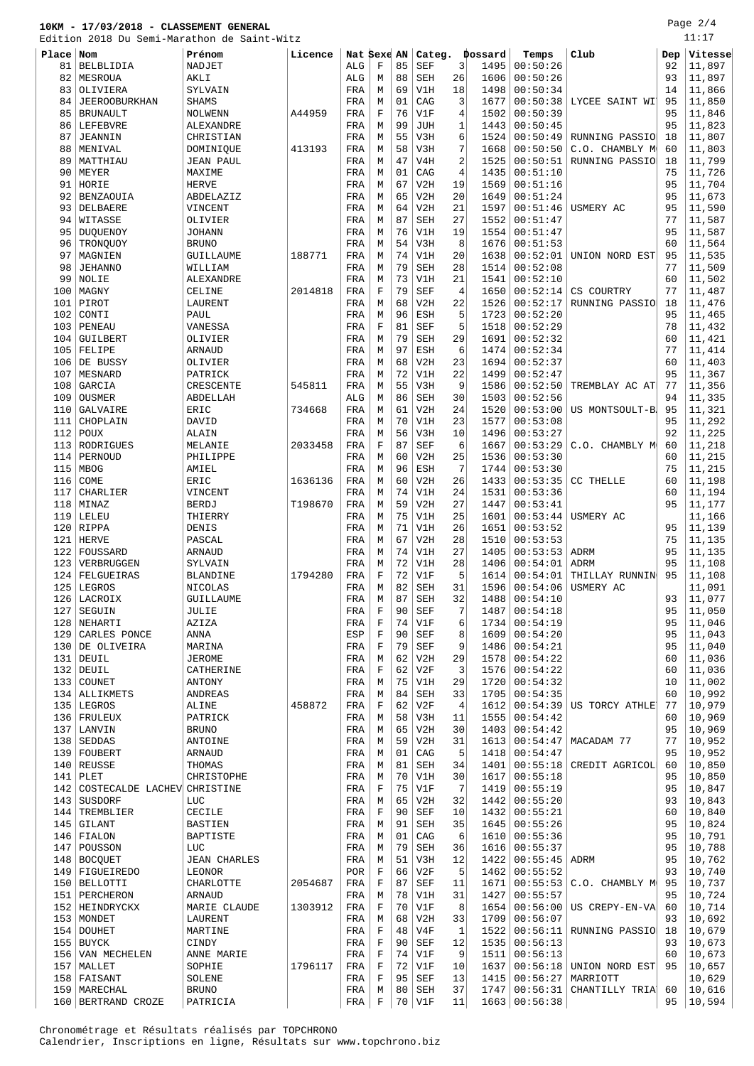Page 2/4

|           | Edition 2018 Du Semi-Marathon de Saint-Witz |                     |         |             |             |    |            |                |         |                 |                           |     | 11:17            |
|-----------|---------------------------------------------|---------------------|---------|-------------|-------------|----|------------|----------------|---------|-----------------|---------------------------|-----|------------------|
| Place Nom |                                             | Prénom              | Licence | Nat Sexe AN |             |    | Categ.     |                | Dossard | Temps           | Club                      | Dep | Vitesse          |
| 81        | BELBLIDIA                                   | NADJET              |         | ALG         | F           | 85 | <b>SEF</b> | 3              | 1495    | 00:50:26        |                           | 92  | 11,897           |
| 82        | MESROUA                                     | AKLI                |         | ALG         | M           | 88 | <b>SEH</b> | 26             | 1606    | 00:50:26        |                           | 93  | 11,897           |
|           |                                             |                     |         |             |             |    |            |                |         |                 |                           |     |                  |
| 83        | OLIVIERA                                    | SYLVAIN             |         | FRA         | M           | 69 | V1H        | 18             | 1498    | 00:50:34        |                           | 14  | 11,866           |
| 84        | <b>JEEROOBURKHAN</b>                        | <b>SHAMS</b>        |         | FRA         | М           | 01 | CAG        | 3              | 1677    | 00:50:38        | LYCEE SAINT WI            | 95  | 11,850           |
| 85        | <b>BRUNAULT</b>                             | <b>NOLWENN</b>      | A44959  | FRA         | F           | 76 | V1F        | 4              | 1502    | 00:50:39        |                           | 95  | 11,846           |
| 86        | LEFEBVRE                                    | ALEXANDRE           |         | FRA         | М           | 99 | <b>JUH</b> | 1              | 1443    | 00:50:45        |                           | 95  | 11,823           |
| 87        | JEANNIN                                     | CHRISTIAN           |         | FRA         | М           | 55 | V3H        | 6              | 1524    | 00:50:49        | RUNNING PASSIO            | 18  | 11,807           |
| 88        | MENIVAL                                     | DOMINIQUE           | 413193  | FRA         | М           | 58 | V3H        | 7              | 1668    | 00:50:50        | C.O. CHAMBLY M            | 60  | 11,803           |
| 89        | MATTHIAU                                    | <b>JEAN PAUL</b>    |         | FRA         | М           | 47 | V4H        | 2              | 1525    | 00:50:51        | RUNNING PASSIO            | 18  | 11,799           |
| 90        | MEYER                                       | MAXIME              |         | FRA         | М           | 01 | CAG        | 4              | 1435    | 00:51:10        |                           | 75  | 11,726           |
| 91        | HORIE                                       | <b>HERVE</b>        |         | FRA         | M           | 67 | V2H        | 19             | 1569    | 00:51:16        |                           | 95  | 11,704           |
| 92        | <b>BENZAOUIA</b>                            | ABDELAZIZ           |         | FRA         | М           | 65 | V2H        | 20             | 1649    | 00:51:24        |                           | 95  | 11,673           |
| 93        | DELBAERE                                    | VINCENT             |         | FRA         | М           | 64 | V2H        | 21             | 1597    | 00:51:46        | USMERY AC                 | 95  | 11,590           |
| 94        | WITASSE                                     | OLIVIER             |         | FRA         | М           | 87 | <b>SEH</b> | 27             | 1552    | 00:51:47        |                           | 77  | 11,587           |
| 95        | <b>DUQUENOY</b>                             | <b>JOHANN</b>       |         | FRA         | М           | 76 | V1H        | 19             | 1554    | 00:51:47        |                           | 95  | 11,587           |
| 96        | TRONQUOY                                    | <b>BRUNO</b>        |         | FRA         | М           | 54 | V3H        | 8              | 1676    | 00:51:53        |                           | 60  | 11,564           |
| 97        | MAGNIEN                                     | GUILLAUME           | 188771  | FRA         | М           | 74 | V1H        | 20             | 1638    | 00:52:01        | UNION NORD EST            | 95  | 11,535           |
| 98        | <b>JEHANNO</b>                              | WILLIAM             |         | FRA         | М           | 79 | <b>SEH</b> | 28             | 1514    | 00:52:08        |                           | 77  | 11,509           |
| 99        | NOLIE                                       | ALEXANDRE           |         | FRA         | M           | 73 | V1H        | 21             | 1541    | 00:52:10        |                           | 60  | 11,502           |
| 100       | MAGNY                                       | CELINE              | 2014818 | FRA         | $\mathbf F$ | 79 | SEF        | 4              | 1650    | 00:52:14        | CS COURTRY                | 77  | 11,487           |
| 101       | PIROT                                       | LAURENT             |         | FRA         | М           | 68 | V2H        | 22             | 1526    | 00:52:17        | RUNNING PASSIO            | 18  | 11,476           |
| 102       | CONTI                                       | PAUL                |         | FRA         | М           | 96 | ESH        | 5              | 1723    | 00:52:20        |                           | 95  | 11,465           |
| 103       | PENEAU                                      | VANESSA             |         | FRA         | $\mathbf F$ | 81 | <b>SEF</b> | 5              | 1518    | 00:52:29        |                           | 78  | 11,432           |
| 104       | GUILBERT                                    | OLIVIER             |         | FRA         | М           | 79 | SEH        | 29             | 1691    | 00:52:32        |                           | 60  | 11,421           |
| 105       | FELIPE                                      | ARNAUD              |         | FRA         | М           | 97 | ESH        | 6              | 1474    | 00:52:34        |                           | 77  | 11,414           |
| 106       | DE BUSSY                                    | OLIVIER             |         | FRA         | М           | 68 | V2H        | 23             | 1694    | 00:52:37        |                           | 60  | 11,403           |
| 107       | MESNARD                                     | PATRICK             |         | FRA         | М           | 72 | V1H        | 22             | 1499    | 00:52:47        |                           | 95  | 11,367           |
| 108       | GARCIA                                      | CRESCENTE           | 545811  | FRA         | M           | 55 | V3H        | 9              | 1586    | 00:52:50        | TREMBLAY AC AT            | 77  | 11,356           |
|           |                                             | ABDELLAH            |         |             | M           | 86 |            |                |         | 00:52:56        |                           | 94  |                  |
| 109       | OUSMER                                      |                     |         | ALG         |             |    | SEH        | 30             | 1503    |                 |                           |     | 11,335           |
| 110       | GALVAIRE                                    | ERIC                | 734668  | FRA         | М           | 61 | V2H        | 24             | 1520    | 00:53:00        | US MONTSOULT-B            | 95  | 11,321           |
| 111       | CHOPLAIN                                    | DAVID               |         | FRA         | М           | 70 | V1H        | 23             | 1577    | 00:53:08        |                           | 95  | 11,292           |
| 112       | POUX                                        | ALAIN               |         | FRA         | М           | 56 | V3H        | 10             | 1496    | 00:53:27        |                           | 92  | 11,225           |
| 113       | RODRIGUES                                   | MELANIE             | 2033458 | FRA         | F           | 87 | <b>SEF</b> | 6              | 1667    | 00:53:29        | C.O. CHAMBLY M            | 60  | 11,218           |
| 114       | PERNOUD                                     | PHILIPPE            |         | FRA         | М           | 60 | V2H        | 25             | 1536    | 00:53:30        |                           | 60  | 11,215           |
| 115       | <b>MBOG</b>                                 | AMIEL               |         | FRA         | М           | 96 | ESH        | 7              | 1744    | 00:53:30        |                           | 75  | 11,215           |
| 116       | COME                                        | ERIC                | 1636136 | FRA         | M           | 60 | V2H        | 26             | 1433    | 00:53:35        | CC THELLE                 | 60  | 11,198           |
| 117       | CHARLIER                                    | VINCENT             |         | FRA         | М           | 74 | V1H        | 24             | 1531    | 00:53:36        |                           | 60  | 11,194           |
| 118       | MINAZ                                       | <b>BERDJ</b>        | T198670 | FRA         | М           | 59 | V2H        | 27             | 1447    | 00:53:41        |                           | 95  | 11,177           |
| 119       | LELEU                                       | THIERRY             |         | FRA         | М           | 75 | V1H        | 25             | 1601    | 00:53:44        | USMERY AC                 |     | 11,166           |
| 120       | RIPPA                                       | DENIS               |         | FRA         | М           | 71 | V1H        | 26             | 1651    | 00:53:52        |                           | 95  | 11,139           |
| 121       | <b>HERVE</b>                                | PASCAL              |         | FRA         | М           | 67 | V2H        | 28             | 1510    | 00:53:53        |                           | 75  | 11,135           |
| 122       | FOUSSARD                                    | ARNAUD              |         | FRA         | М           | 74 | V1H        | 27             | 1405    | 00:53:53        | ADRM                      | 95  | 11,135           |
| 123       | VERBRUGGEN                                  | SYLVAIN             |         | FRA         | М           | 72 | V1H        | 28             | 1406    | 00:54:01        | ADRM                      | 95  | 11,108           |
| 124       | FELGUEIRAS                                  | <b>BLANDINE</b>     | 1794280 | FRA         | F           | 72 | V1F        | 5              | 1614    | 00:54:01        | THILLAY RUNNIN            | 95  | 11,108           |
|           | 125 LEGROS                                  | NICOLAS             |         | FRA         | M           | 82 | SEH        | 31             | 1596    | 00:54:06        | USMERY AC                 |     | 11,091           |
|           | 126 LACROIX                                 | GUILLAUME           |         | FRA         | M           | 87 | <b>SEH</b> | 32             |         | 1488 00:54:10   |                           | 93  | $ 11,077\rangle$ |
| 127       | SEGUIN                                      | JULIE               |         | FRA         | F           | 90 | SEF        | 7              | 1487    | 00:54:18        |                           | 95  | 11,050           |
|           | 128 NEHARTI                                 | AZIZA               |         | FRA         | F           | 74 | V1F        | 6              | 1734    | 00:54:19        |                           | 95  | 11,046           |
| 129       | CARLES PONCE                                | ANNA                |         | ESP         | F           | 90 | <b>SEF</b> | 8              | 1609    | 00:54:20        |                           | 95  | 11,043           |
|           | 130 DE OLIVEIRA                             | MARINA              |         | FRA         | $\mathbf F$ | 79 | SEF        | 9              | 1486    | 00:54:21        |                           | 95  | 11,040           |
|           | 131 DEUIL                                   | <b>JEROME</b>       |         | FRA         | М           | 62 | V2H        | 29             | 1578    | 00:54:22        |                           | 60  | 11,036           |
|           | $132$ DEUIL                                 | CATHERINE           |         | FRA         | $\mathbf F$ | 62 | V2F        | 3              | 1576    | 00:54:22        |                           | 60  | 11,036           |
| 133       | COUNET                                      | <b>ANTONY</b>       |         | FRA         | М           | 75 | V1H        | 29             | 1720    | 00:54:32        |                           | 10  | 11,002           |
|           | 134 ALLIKMETS                               | ANDREAS             |         | FRA         | M           | 84 | <b>SEH</b> | 33             | 1705    | 00:54:35        |                           | 60  | 10,992           |
|           | 135 LEGROS                                  | ALINE               | 458872  | FRA         | $\mathbf F$ | 62 | V2F        | $\overline{4}$ | 1612    | 00:54:39        | US TORCY ATHLE            | 77  | 10,979           |
|           | 136 FRULEUX                                 | PATRICK             |         | FRA         | М           | 58 | V3H        | 11             | 1555    | 00:54:42        |                           | 60  | 10,969           |
|           | $137$ LANVIN                                | <b>BRUNO</b>        |         | FRA         | М           | 65 | V2H        | 30             | 1403    | 00:54:42        |                           | 95  | 10,969           |
| 138       | SEDDAS                                      | ANTOINE             |         | FRA         | М           | 59 | V2H        | 31             | 1613    | 00:54:47        | MACADAM 77                | 77  | 10,952           |
|           | 139 FOUBERT                                 | ARNAUD              |         | FRA         | М           | 01 | CAG        | 5              | 1418    | 00:54:47        |                           | 95  | 10,952           |
|           | 140 REUSSE                                  | THOMAS              |         | FRA         | М           | 81 | <b>SEH</b> | 34             | 1401    | 00:55:18        | CREDIT AGRICOL            | 60  | 10,850           |
|           | $141$ PLET                                  | CHRISTOPHE          |         | FRA         | M           | 70 | V1H        | 30             | 1617    | 00:55:18        |                           | 95  | 10,850           |
|           | 142 COSTECALDE LACHEV CHRISTINE             |                     |         | FRA         | F           | 75 | V1F        | 7              | 1419    | 00:55:19        |                           | 95  | 10,847           |
|           |                                             |                     |         |             | M           | 65 | V2H        |                | 1442    | 00:55:20        |                           | 93  | 10,843           |
|           | 143   SUSDORF                               | LUC                 |         | FRA         |             |    |            | 32             |         |                 |                           |     | 10,840           |
|           | 144   TREMBLIER                             | CECILE              |         | FRA         | $\mathbf F$ | 90 | <b>SEF</b> | 10             | 1432    | 00:55:21        |                           | 60  |                  |
|           | $145$ GILANT                                | <b>BASTIEN</b>      |         | FRA         | М           | 91 | <b>SEH</b> | 35             | 1645    | 00:55:26        |                           | 95  | 10,824           |
|           | $146$ FIALON                                | <b>BAPTISTE</b>     |         | FRA         | M           | 01 | CAG        | 6              | 1610    | 00:55:36        |                           | 95  | 10,791           |
| 147       | POUSSON                                     | <b>LUC</b>          |         | FRA         | М           | 79 | <b>SEH</b> | 36             | 1616    | 00:55:37        |                           | 95  | 10,788           |
|           | 148 BOCQUET                                 | <b>JEAN CHARLES</b> |         | FRA         | М           | 51 | V3H        | 12             | 1422    | 00:55:45        | ADRM                      | 95  | 10,762           |
|           | 149   FIGUEIREDO                            | LEONOR              |         | POR         | F           | 66 | V2F        | 5              | 1462    | 00:55:52        |                           | 93  | 10,740           |
|           | 150   BELLOTTI                              | CHARLOTTE           | 2054687 | FRA         | $\mathbf F$ | 87 | <b>SEF</b> | 11             | 1671    | 00:55:53        | C.O. CHAMBLY M            | 95  | 10,737           |
| 151       | PERCHERON                                   | <b>ARNAUD</b>       |         | FRA         | М           | 78 | V1H        | 31             | 1427    | 00:55:57        |                           | 95  | 10,724           |
|           | 152   HEINDRYCKX                            | MARIE CLAUDE        | 1303912 | FRA         | F           | 70 | V1F        | 8              | 1654    | 00:56:00        | US CREPY-EN-VA            | 60  | 10,714           |
|           | 153 MONDET                                  | LAURENT             |         | FRA         | М           | 68 | V2H        | 33             | 1709    | 00:56:07        |                           | 93  | 10,692           |
|           | 154 DOUHET                                  | MARTINE             |         | FRA         | F           | 48 | V4F        | 1              | 1522    | 00:56:11        | RUNNING PASSIO            | 18  | 10,679           |
|           | $155$ BUYCK                                 | CINDY               |         | FRA         | $\mathbf F$ | 90 | SEF        | 12             | 1535    | 00:56:13        |                           | 93  | 10,673           |
|           | 156 VAN MECHELEN                            | ANNE MARIE          |         | FRA         | F           | 74 | V1F        | 9              | 1511    | 00:56:13        |                           | 60  | 10,673           |
|           | 157   MALLET                                | SOPHIE              | 1796117 | FRA         | F           | 72 | V1F        | 10             | 1637    |                 | $00:56:18$ UNION NORD EST | 95  | 10,657           |
|           | 158 FAISANT                                 | SOLENE              |         | FRA         | $\mathbf F$ | 95 | <b>SEF</b> | 13             | 1415    | 00:56:27        | MARRIOTT                  |     | 10,629           |
|           | 159   MARECHAL                              | <b>BRUNO</b>        |         | FRA         | M           | 80 | SEH        | 37             | 1747    | 00:56:31        | CHANTILLY TRIA            | 60  | 10,616           |
|           | 160 BERTRAND CROZE                          | PATRICIA            |         | FRA         | F           |    | 70 V1F     | 11             |         | 1663   00:56:38 |                           | 95  | 10,594           |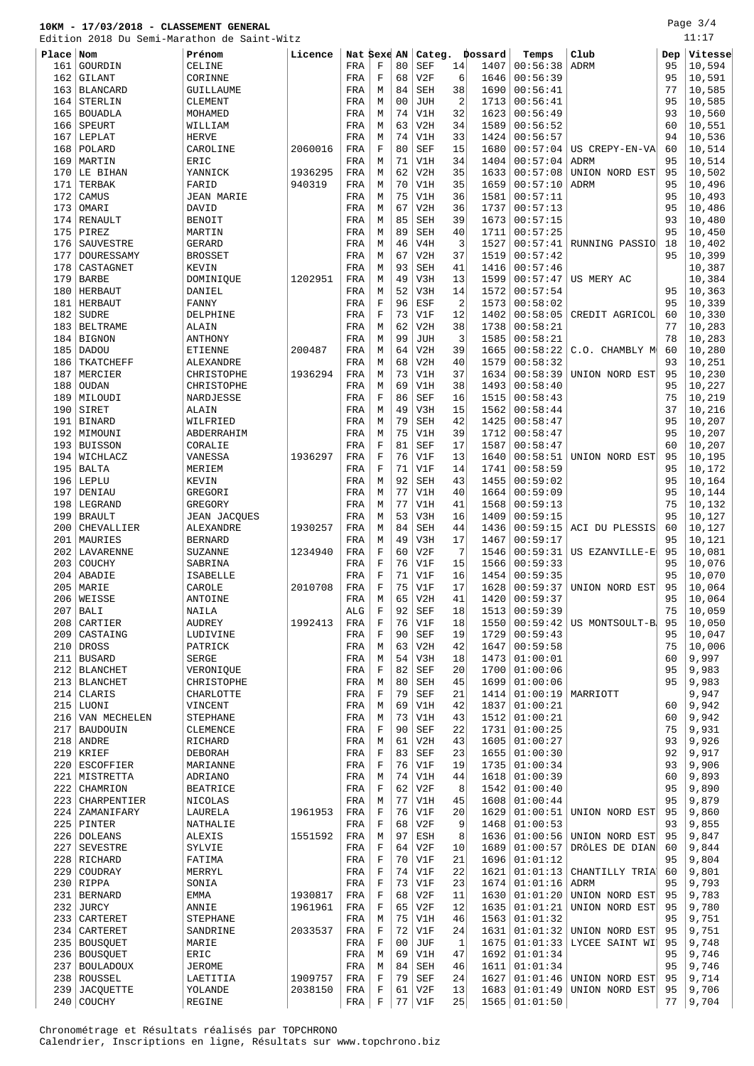Page 3/4

|             |                                  | Edition 2018 Du Semi-Marathon de Saint-Witz |                    |             |                            |                |                   |                      |              |                             |                                  |          | 11:17            |
|-------------|----------------------------------|---------------------------------------------|--------------------|-------------|----------------------------|----------------|-------------------|----------------------|--------------|-----------------------------|----------------------------------|----------|------------------|
| Place Nom   |                                  | Prénom                                      | Licence            | Nat Sexe AN |                            |                | Categ.            |                      | Dossard      | Temps                       | Club                             | Dep      | Vitesse          |
| 161         | GOURDIN                          | CELINE                                      |                    | FRA         | F                          | 80             | SEF               | 14                   | 1407         | 00:56:38                    | <b>ADRM</b>                      | 95       | 10,594           |
| 162         | GILANT                           | CORINNE                                     |                    | FRA         | $\mathbf F$                | 68             | V2F               | 6                    | 1646         | 00:56:39                    |                                  | 95       | 10,591           |
| 163         | <b>BLANCARD</b>                  | GUILLAUME                                   |                    | FRA         | М                          | 84             | <b>SEH</b>        | 38                   | 1690         | 00:56:41                    |                                  | 77       | 10,585           |
| 164         | STERLIN                          | <b>CLEMENT</b>                              |                    | FRA         | М                          | 0 <sub>0</sub> | <b>JUH</b>        | $\sqrt{2}$           | 1713         | 00:56:41                    |                                  | 95       | 10,585           |
| 165         | <b>BOUADLA</b>                   | MOHAMED                                     |                    | FRA         | М                          | 74<br>63       | V1H               | 32                   | 1623         | 00:56:49                    |                                  | 93       | 10,560           |
| 166<br>167  | SPEURT<br>LEPLAT                 | WILLIAM<br><b>HERVE</b>                     |                    | FRA<br>FRA  | М<br>М                     | 74             | V2H<br>V1H        | 34<br>33             | 1589<br>1424 | 00:56:52<br>00:56:57        |                                  | 60<br>94 | 10,551<br>10,536 |
| 168         | POLARD                           | CAROLINE                                    | 2060016            | FRA         | F                          | 80             | SEF               | 15                   | 1680         | 00:57:04                    | US CREPY-EN-VA                   | 60       | 10,514           |
| 169         | MARTIN                           | ERIC                                        |                    | FRA         | M                          | 71             | V1H               | 34                   | 1404         | 00:57:04                    | <b>ADRM</b>                      | 95       | 10,514           |
|             | 170 LE BIHAN                     | YANNICK                                     | 1936295            | FRA         | M                          | 62             | V2H               | 35                   | 1633         | 00:57:08                    | UNION NORD EST                   | 95       | 10,502           |
| 171         | TERBAK                           | FARID                                       | 940319             | FRA         | M                          | 70             | V1H               | 35                   | 1659         | 00:57:10                    | ADRM                             | 95       | 10,496           |
| 172         | CAMUS                            | <b>JEAN MARIE</b>                           |                    | FRA         | М                          | 75             | V1H               | 36                   | 1581         | 00:57:11                    |                                  | 95       | 10,493           |
| 173         | OMARI                            | DAVID                                       |                    | FRA         | M                          | 67             | V2H               | 36                   | 1737         | 00:57:13                    |                                  | 95       | 10,486           |
| 174         | RENAULT                          | <b>BENOIT</b>                               |                    | FRA         | М                          | 85             | <b>SEH</b>        | 39                   | 1673         | 00:57:15                    |                                  | 93       | 10,480           |
| 175         | PIREZ                            | MARTIN                                      |                    | FRA         | М                          | 89             | <b>SEH</b>        | 40                   | 1711         | 00:57:25                    |                                  | 95       | 10,450           |
| 176         | SAUVESTRE                        | <b>GERARD</b>                               |                    | FRA         | М                          | 46             | V4H               | 3                    | 1527         | 00:57:41                    | RUNNING PASSIO                   | 18       | 10,402           |
| 177         | DOURESSAMY                       | <b>BROSSET</b>                              |                    | FRA         | М                          | 67             | V2H               | 37                   | 1519         | 00:57:42                    |                                  | 95       | 10,399           |
| 178         | CASTAGNET                        | KEVIN                                       |                    | FRA         | М                          | 93             | <b>SEH</b>        | 41                   | 1416         | 00:57:46                    |                                  |          | 10,387           |
| 179         | <b>BARBE</b>                     | DOMINIQUE                                   | 1202951            | FRA         | М                          | 49             | V3H               | 13                   | 1599         | 00:57:47                    | US MERY AC                       |          | 10,384           |
| 180<br>181  | <b>HERBAUT</b><br><b>HERBAUT</b> | DANIEL<br>FANNY                             |                    | FRA<br>FRA  | M<br>F                     | 52<br>96       | V3H<br>ESF        | 14<br>$\overline{2}$ | 1572<br>1573 | 00:57:54<br>00:58:02        |                                  | 95<br>95 | 10,363<br>10,339 |
| 182         | <b>SUDRE</b>                     | DELPHINE                                    |                    | FRA         | F                          | 73             | V1F               | 12                   | 1402         | 00:58:05                    | CREDIT AGRICOL                   | 60       | 10,330           |
| 183         | <b>BELTRAME</b>                  | ALAIN                                       |                    | FRA         | М                          | 62             | V2H               | 38                   | 1738         | 00:58:21                    |                                  | 77       | 10,283           |
| 184         | <b>BIGNON</b>                    | ANTHONY                                     |                    | FRA         | М                          | 99             | <b>JUH</b>        | 3                    | 1585         | 00:58:21                    |                                  | 78       | 10,283           |
| 185         | <b>DADOU</b>                     | <b>ETIENNE</b>                              | 200487             | FRA         | M                          | 64             | V2H               | 39                   | 1665         | 00:58:22                    | C.O. CHAMBLY M                   | 60       | 10,280           |
| 186         | TKATCHEFF                        | ALEXANDRE                                   |                    | FRA         | М                          | 68             | V2H               | 40                   | 1579         | 00:58:32                    |                                  | 93       | 10,251           |
| 187         | MERCIER                          | CHRISTOPHE                                  | 1936294            | FRA         | M                          | 73             | V1H               | 37                   | 1634         | 00:58:39                    | UNION NORD EST                   | 95       | 10,230           |
| 188         | <b>OUDAN</b>                     | CHRISTOPHE                                  |                    | FRA         | M                          | 69             | V1H               | 38                   | 1493         | 00:58:40                    |                                  | 95       | 10,227           |
| 189         | MILOUDI                          | NARDJESSE                                   |                    | FRA         | $\mathbf F$                | 86             | <b>SEF</b>        | 16                   | 1515         | 00:58:43                    |                                  | 75       | 10,219           |
| 190         | SIRET                            | ALAIN                                       |                    | FRA         | M                          | 49             | V3H               | 15                   | 1562         | 00:58:44                    |                                  | 37       | 10,216           |
| 191         | <b>BINARD</b>                    | WILFRIED                                    |                    | FRA         | М                          | 79             | <b>SEH</b>        | 42                   | 1425         | 00:58:47                    |                                  | 95       | 10,207           |
| 192         | MIMOUNI                          | ABDERRAHIM                                  |                    | FRA         | М                          | 75             | V1H               | 39                   | 1712         | 00:58:47                    |                                  | 95       | 10,207           |
| 193         | <b>BUISSON</b>                   | CORALIE                                     |                    | FRA         | $\mathbf F$<br>$\mathbf F$ | 81<br>76       | <b>SEF</b><br>V1F | 17<br>13             | 1587         | 00:58:47                    |                                  | 60       | 10,207           |
| 195         | 194   WICHLACZ<br><b>BALTA</b>   | VANESSA<br>MERIEM                           | 1936297            | FRA<br>FRA  | F                          | 71             | V1F               | 14                   | 1640<br>1741 | 00:58:51<br>00:58:59        | UNION NORD EST                   | 95<br>95 | 10,195<br>10,172 |
| 196         | LEPLU                            | KEVIN                                       |                    | FRA         | M                          | 92             | <b>SEH</b>        | 43                   | 1455         | 00:59:02                    |                                  | 95       | 10,164           |
| 197         | DENIAU                           | GREGORI                                     |                    | FRA         | М                          | 77             | V1H               | 40                   | 1664         | 00:59:09                    |                                  | 95       | 10,144           |
| 198         | LEGRAND                          | GREGORY                                     |                    | FRA         | M                          | 77             | V1H               | 41                   | 1568         | 00:59:13                    |                                  | 75       | 10,132           |
| 199         | <b>BRAULT</b>                    | <b>JEAN JACQUES</b>                         |                    | FRA         | М                          | 53             | V3H               | 16                   | 1409         | 00:59:15                    |                                  | 95       | 10,127           |
| 200         | CHEVALLIER                       | ALEXANDRE                                   | 1930257            | FRA         | М                          | 84             | <b>SEH</b>        | 44                   | 1436         | 00:59:15                    | ACI DU PLESSIS                   | 60       | 10,127           |
| 201         | MAURIES                          | <b>BERNARD</b>                              |                    | FRA         | М                          | 49             | V3H               | 17                   | 1467         | 00:59:17                    |                                  | 95       | 10,121           |
| 202         | LAVARENNE                        | <b>SUZANNE</b>                              | 1234940            | FRA         | F                          | 60             | V2F               | 7                    | 1546         | 00:59:31                    | US EZANVILLE-E                   | 95       | 10,081           |
| 203         | COUCHY                           | SABRINA                                     |                    | FRA         | $\mathbf F$                | 76             | V1F               | 15                   | 1566         | 00:59:33                    |                                  | 95       | 10,076           |
| 204         | ABADIE                           | <b>ISABELLE</b>                             |                    | FRA         | F                          | 71             | V1F               | 16                   | 1454         | 00:59:35                    |                                  | 95       | 10,070           |
|             | 205 MARIE                        | CAROLE                                      | 2010708            | FRA         | $\mathbf F$                | 75             | V1F               | 17                   | 1628         | 00:59:37                    | UNION NORD EST                   | 95       | 10,064           |
| 207         | 206 WEISSE                       | ANTOINE                                     |                    | FRA         | М<br>F                     | 65<br>92       | V2H               | 41                   |              | 1420   00:59:37<br>00:59:39 |                                  | 95<br>75 | 10,064<br>10,059 |
| 208         | <b>BALI</b><br>CARTIER           | NAILA<br>AUDREY                             | 1992413            | ALG<br>FRA  | $\mathbf F$                | 76             | SEF<br>V1F        | 18<br>18             | 1513<br>1550 | 00:59:42                    | US MONTSOULT-B                   | 95       | 10,050           |
| 209         | CASTAING                         | LUDIVINE                                    |                    | FRA         | $\mathbf F$                | 90             | SEF               | 19                   | 1729         | 00:59:43                    |                                  | 95       | 10,047           |
| 210         | DROSS                            | PATRICK                                     |                    | FRA         | M                          | 63             | V2H               | 42                   | 1647         | 00:59:58                    |                                  | 75       | 10,006           |
| 211         | <b>BUSARD</b>                    | SERGE                                       |                    | FRA         | М                          | 54             | V3H               | 18                   | 1473         | 01:00:01                    |                                  | 60       | 9,997            |
| 212         | <b>BLANCHET</b>                  | VERONIQUE                                   |                    | FRA         | $\mathbf F$                | 82             | <b>SEF</b>        | 20                   | 1700         | 01:00:06                    |                                  | 95       | 9,983            |
| 213         | <b>BLANCHET</b>                  | CHRISTOPHE                                  |                    | FRA         | М                          | 80             | SEH               | 45                   | 1699         | 01:00:06                    |                                  | 95       | 9,983            |
| 214         | CLARIS                           | CHARLOTTE                                   |                    | FRA         | $\mathbf F$                | 79             | SEF               | 21                   | 1414         | 01:00:19                    | MARRIOTT                         |          | 9,947            |
| 215         | LUONI                            | VINCENT                                     |                    | FRA         | М                          | 69             | V1H               | 42                   | 1837         | 01:00:21                    |                                  | 60       | 9,942            |
| 216         | VAN MECHELEN                     | <b>STEPHANE</b>                             |                    | FRA         | M                          | 73             | V1H               | 43                   | 1512         | 01:00:21                    |                                  | 60       | 9,942            |
| 217         | <b>BAUDOUIN</b>                  | CLEMENCE                                    |                    | FRA         | F<br>М                     | 90<br>61       | SEF               | 22<br>43             | 1731         | 01:00:25<br>01:00:27        |                                  | 75<br>93 | 9,931<br>9,926   |
| 218         | ANDRE<br>$219$ KRIEF             | RICHARD<br>DEBORAH                          |                    | FRA<br>FRA  | $\mathbf F$                | 83             | V2H<br>SEF        | 23                   | 1605<br>1655 | 01:00:30                    |                                  | 92       | 9,917            |
| 220         | ESCOFFIER                        | MARIANNE                                    |                    | FRA         | F                          | 76             | V1F               | 19                   | 1735         | 01:00:34                    |                                  | 93       | 9,906            |
|             | 221   MISTRETTA                  | ADRIANO                                     |                    | FRA         | М                          | 74             | V1H               | 44                   | 1618         | 01:00:39                    |                                  | 60       | 9,893            |
| 222         | CHAMRION                         | <b>BEATRICE</b>                             |                    | FRA         | $\mathbf F$                | 62             | V2F               | 8                    | 1542         | 01:00:40                    |                                  | 95       | 9,890            |
| 223         | CHARPENTIER                      | NICOLAS                                     |                    | FRA         | М                          | 77             | V1H               | 45                   | 1608         | 01:00:44                    |                                  | 95       | 9,879            |
| 224         | ZAMANIFARY                       | LAURELA                                     | 1961953            | FRA         | F                          | 76             | V1F               | 20                   | 1629         | 01:00:51                    | UNION NORD EST                   | 95       | 9,860            |
| 225         | PINTER                           | NATHALIE                                    |                    | FRA         | F                          | 68             | V2F               | 9                    | 1468         | 01:00:53                    |                                  | 93       | 9,855            |
|             | 226 DOLEANS                      | <b>ALEXIS</b>                               | 1551592            | FRA         | М                          | 97             | ESH               | 8                    | 1636         | 01:00:56                    | UNION NORD EST                   | 95       | 9,847            |
| 227         | <b>SEVESTRE</b>                  | SYLVIE                                      |                    | FRA         | F                          | 64             | V2F               | 10                   | 1689         | 01:00:57                    | DRÔLES DE DIAN                   | 60       | 9,844            |
|             | 228 RICHARD                      | FATIMA                                      |                    | FRA         | $\mathbf F$                | 70             | V1F               | 21                   | 1696         | 01:01:12                    |                                  | 95       | 9,804            |
| 229         | COUDRAY                          | MERRYL                                      |                    | FRA         | F                          | 74             | V1F               | 22                   | 1621         | 01:01:13                    | CHANTILLY TRIA                   | 60       | 9,801            |
|             | $230$ RIPPA                      | SONIA                                       |                    | FRA         | $\mathbf F$                | 73             | V1F               | 23                   | 1674         | 01:01:16                    | ADRM                             | 95       | 9,793            |
| 231 <br>232 | <b>BERNARD</b><br>JURCY          | EMMA<br>ANNIE                               | 1930817<br>1961961 | FRA<br>FRA  | F<br>$\mathbf F$           | 68<br>65       | V2F<br>V2F        | 11<br>12             | 1630<br>1635 | 01:01:20<br>01:01:21        | UNION NORD EST<br>UNION NORD EST | 95<br>95 | 9,783<br>9,780   |
|             | 233   CARTERET                   | <b>STEPHANE</b>                             |                    | FRA         | М                          | 75             | V1H               | 46                   | 1563         | 01:01:32                    |                                  | 95       | 9,751            |
| 234         | CARTERET                         | SANDRINE                                    | 2033537            | FRA         | F                          | 72             | V1F               | 24                   | 1631         | 01:01:32                    | UNION NORD EST                   | 95       | 9,751            |
|             | 235   BOUSQUET                   | MARIE                                       |                    | FRA         | $\mathbf F$                | 0 <sub>0</sub> | JUF               | $\mathbf{1}$         | 1675         | 01:01:33                    | LYCEE SAINT WI                   | 95       | 9,748            |
|             | 236   BOUSQUET                   | ERIC                                        |                    | FRA         | М                          | 69             | V1H               | 47                   | 1692         | 01:01:34                    |                                  | 95       | 9,746            |
|             | 237   BOULADOUX                  | <b>JEROME</b>                               |                    | FRA         | M                          | 84             | SEH               | 46                   | 1611         | 01:01:34                    |                                  | 95       | 9,746            |
| 238         | ROUSSEL                          | LAETITIA                                    | 1909757            | FRA         | F                          | 79             | SEF               | 24                   | 1627         | 01:01:46                    | UNION NORD EST                   | 95       | 9,714            |
| 239         | <b>JACQUETTE</b>                 | YOLANDE                                     | 2038150            | FRA         | $\mathbf F$                | 61             | V2F               | 13                   | 1683         | 01:01:49                    | UNION NORD EST                   | 95       | 9,706            |

240 COUCHY REGINE REGINE FRA F 77 V1F 25 1565 01:01:50 77 9,704

Chronométrage et Résultats réalisés par TOPCHRONO Calendrier, Inscriptions en ligne, Résultats sur www.topchrono.biz